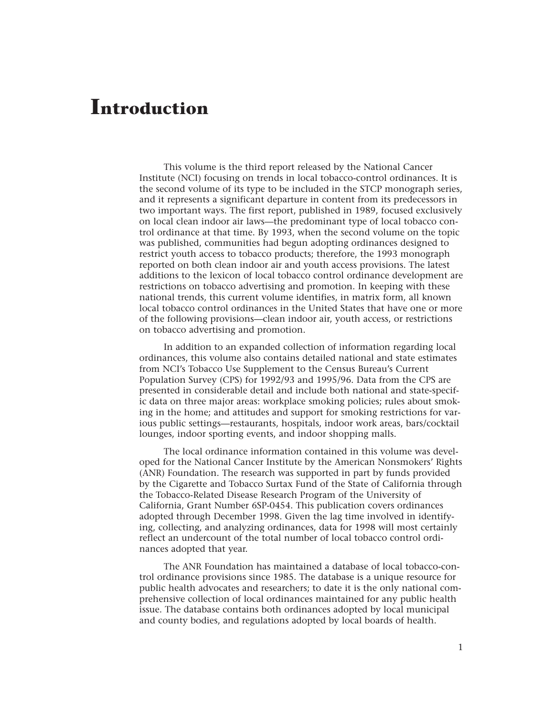## **Introduction**

This volume is the third report released by the National Cancer Institute (NCI) focusing on trends in local tobacco-control ordinances. It is the second volume of its type to be included in the STCP monograph series, and it represents a significant departure in content from its predecessors in two important ways. The first report, published in 1989, focused exclusively on local clean indoor air laws—the predominant type of local tobacco control ordinance at that time. By 1993, when the second volume on the topic was published, communities had begun adopting ordinances designed to restrict youth access to tobacco products; therefore, the 1993 monograph reported on both clean indoor air and youth access provisions. The latest additions to the lexicon of local tobacco control ordinance development are restrictions on tobacco advertising and promotion. In keeping with these national trends, this current volume identifies, in matrix form, all known local tobacco control ordinances in the United States that have one or more of the following provisions—clean indoor air, youth access, or restrictions on tobacco advertising and promotion.

In addition to an expanded collection of information regarding local ordinances, this volume also contains detailed national and state estimates from NCI's Tobacco Use Supplement to the Census Bureau's Current Population Survey (CPS) for 1992/93 and 1995/96. Data from the CPS are presented in considerable detail and include both national and state-specific data on three major areas: workplace smoking policies; rules about smoking in the home; and attitudes and support for smoking restrictions for various public settings—restaurants, hospitals, indoor work areas, bars/cocktail lounges, indoor sporting events, and indoor shopping malls.

The local ordinance information contained in this volume was developed for the National Cancer Institute by the American Nonsmokers' Rights (ANR) Foundation. The research was supported in part by funds provided by the Cigarette and Tobacco Surtax Fund of the State of California through the Tobacco-Related Disease Research Program of the University of California, Grant Number 6SP-0454. This publication covers ordinances adopted through December 1998. Given the lag time involved in identifying, collecting, and analyzing ordinances, data for 1998 will most certainly reflect an undercount of the total number of local tobacco control ordinances adopted that year.

The ANR Foundation has maintained a database of local tobacco-control ordinance provisions since 1985. The database is a unique resource for public health advocates and researchers; to date it is the only national comprehensive collection of local ordinances maintained for any public health issue. The database contains both ordinances adopted by local municipal and county bodies, and regulations adopted by local boards of health.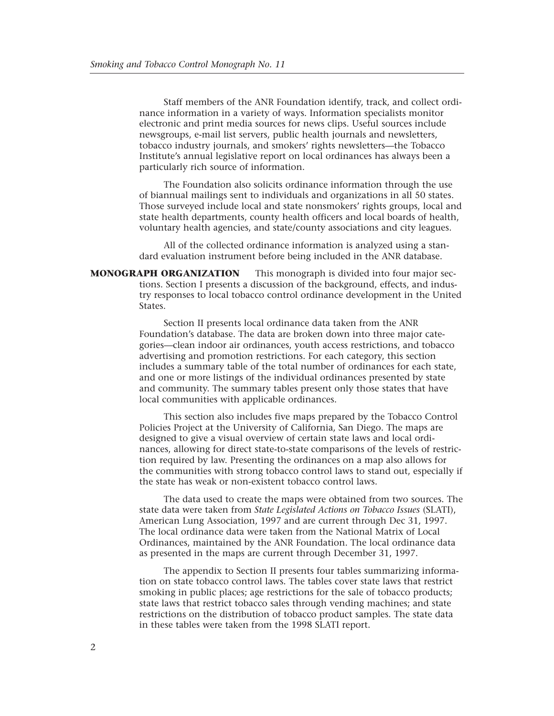Staff members of the ANR Foundation identify, track, and collect ordinance information in a variety of ways. Information specialists monitor electronic and print media sources for news clips. Useful sources include newsgroups, e-mail list servers, public health journals and newsletters, tobacco industry journals, and smokers' rights newsletters—the Tobacco Institute's annual legislative report on local ordinances has always been a particularly rich source of information.

The Foundation also solicits ordinance information through the use of biannual mailings sent to individuals and organizations in all 50 states. Those surveyed include local and state nonsmokers' rights groups, local and state health departments, county health officers and local boards of health, voluntary health agencies, and state/county associations and city leagues.

All of the collected ordinance information is analyzed using a standard evaluation instrument before being included in the ANR database.

**MONOGRAPH ORGANIZATION** This monograph is divided into four major sections. Section I presents a discussion of the background, effects, and industry responses to local tobacco control ordinance development in the United States.

> Section II presents local ordinance data taken from the ANR Foundation's database. The data are broken down into three major categories—clean indoor air ordinances, youth access restrictions, and tobacco advertising and promotion restrictions. For each category, this section includes a summary table of the total number of ordinances for each state, and one or more listings of the individual ordinances presented by state and community. The summary tables present only those states that have local communities with applicable ordinances.

This section also includes five maps prepared by the Tobacco Control Policies Project at the University of California, San Diego. The maps are designed to give a visual overview of certain state laws and local ordinances, allowing for direct state-to-state comparisons of the levels of restriction required by law. Presenting the ordinances on a map also allows for the communities with strong tobacco control laws to stand out, especially if the state has weak or non-existent tobacco control laws.

The data used to create the maps were obtained from two sources. The state data were taken from *State Legislated Actions on Tobacco Issues* (SLATI), American Lung Association, 1997 and are current through Dec 31, 1997. The local ordinance data were taken from the National Matrix of Local Ordinances, maintained by the ANR Foundation. The local ordinance data as presented in the maps are current through December 31, 1997.

The appendix to Section II presents four tables summarizing information on state tobacco control laws. The tables cover state laws that restrict smoking in public places; age restrictions for the sale of tobacco products; state laws that restrict tobacco sales through vending machines; and state restrictions on the distribution of tobacco product samples. The state data in these tables were taken from the 1998 SLATI report.